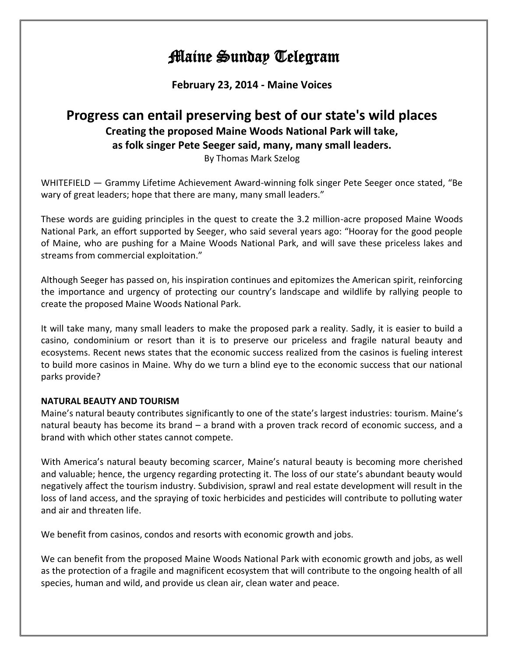# Maine Sunday Telegram

**February 23, 2014 - Maine Voices**

## **Progress can entail preserving best of our state's wild places Creating the proposed Maine Woods National Park will take, as folk singer Pete Seeger said, many, many small leaders.**

By Thomas Mark Szelog

WHITEFIELD — Grammy Lifetime Achievement Award-winning folk singer Pete Seeger once stated, "Be wary of great leaders; hope that there are many, many small leaders."

These words are guiding principles in the quest to create the 3.2 million-acre proposed Maine Woods National Park, an effort supported by Seeger, who said several years ago: "Hooray for the good people of Maine, who are pushing for a Maine Woods National Park, and will save these priceless lakes and streams from commercial exploitation."

Although Seeger has passed on, his inspiration continues and epitomizes the American spirit, reinforcing the importance and urgency of protecting our country's landscape and wildlife by rallying people to create the proposed Maine Woods National Park.

It will take many, many small leaders to make the proposed park a reality. Sadly, it is easier to build a casino, condominium or resort than it is to preserve our priceless and fragile natural beauty and ecosystems. Recent news states that the economic success realized from the casinos is fueling interest to build more casinos in Maine. Why do we turn a blind eye to the economic success that our national parks provide?

### **NATURAL BEAUTY AND TOURISM**

Maine's natural beauty contributes significantly to one of the state's largest industries: tourism. Maine's natural beauty has become its brand – a brand with a proven track record of economic success, and a brand with which other states cannot compete.

With America's natural beauty becoming scarcer, Maine's natural beauty is becoming more cherished and valuable; hence, the urgency regarding protecting it. The loss of our state's abundant beauty would negatively affect the tourism industry. Subdivision, sprawl and real estate development will result in the loss of land access, and the spraying of toxic herbicides and pesticides will contribute to polluting water and air and threaten life.

We benefit from casinos, condos and resorts with economic growth and jobs.

We can benefit from the proposed Maine Woods National Park with economic growth and jobs, as well as the protection of a fragile and magnificent ecosystem that will contribute to the ongoing health of all species, human and wild, and provide us clean air, clean water and peace.